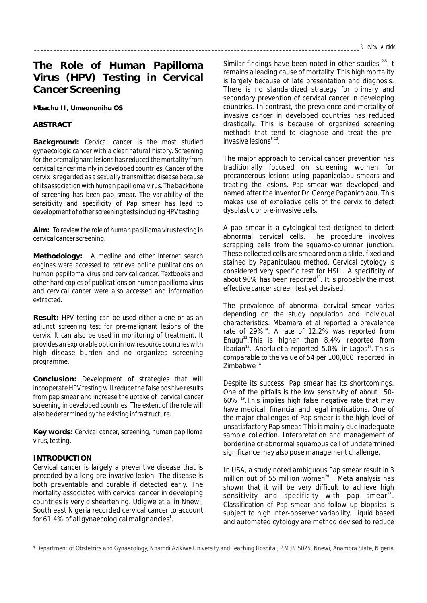# **The Role of Human Papilloma Virus (HPV) Testing in Cervical Cancer Screening**

**Mbachu II, Umeononihu OS**

## **ABSTRACT**

**Background:** *Cervical cancer is the most studied gynaecologic cancer with a clear natural history. Screening for the premalignant lesions has reduced the mortality from cervical cancer mainly in developed countries. Cancer of the cervix is regarded as a sexually transmitted disease because of its association with human papilloma virus. The backbone of screening has been pap smear. The variability of the sensitivity and specificity of Pap smear has lead to development of other screening tests including HPV testing.* 

**Aim:** *To review the role of human papilloma virus testing in cervical cancer screening.*

**Methodology:** *A medline and other internet search engines were accessed to retrieve online publications on human papilloma virus and cervical cancer. Textbooks and other hard copies of publications on human papilloma virus and cervical cancer were also accessed and information extracted.*

**Result:** *HPV testing can be used either alone or as an adjunct screening test for pre-malignant lesions of the cervix. It can also be used in monitoring of treatment. It provides an explorable option in low resource countries with high disease burden and no organized screening programme.*

**Conclusion:** *Development of strategies that will incooperate HPV testing will reduce the false positive results from pap smear and increase the uptake of cervical cancer screening in developed countries. The extent of the role will also be determined by the existing infrastructure.*

**Key words:** *Cervical cancer, screening, human papilloma virus, testing.*

## **INTRODUCTION**

Cervical cancer is largely a preventive disease that is preceded by a long pre-invasive lesion. The disease is both preventable and curable if detected early. The mortality associated with cervical cancer in developing countries is very disheartening. Udigwe et al in Nnewi, South east Nigeria recorded cervical cancer to account for 61.4% of all gynaecological malignancies $^{\rm 1}.$ 

Similar findings have been noted in other studies  $2-5$ . It remains a leading cause of mortality. This high mortality is largely because of late presentation and diagnosis. There is no standardized strategy for primary and secondary prevention of cervical cancer in developing countries. In contrast, the prevalence and mortality of invasive cancer in developed countries has reduced drastically. This is because of organized screening methods that tend to diagnose and treat the preinvasive lesions<sup>6-12</sup>.

The major approach to cervical cancer prevention has traditionally focused on screening women for precancerous lesions using papanicolaou smears and treating the lesions. Pap smear was developed and named after the inventor Dr. George Papanicolaou. This makes use of exfoliative cells of the cervix to detect dysplastic or pre-invasive cells.

A pap smear is a cytological test designed to detect abnormal cervical cells. The procedure involves scrapping cells from the squamo-columnar junction. These collected cells are smeared onto a slide, fixed and stained by Papaniculaou method. Cervical cytology is considered very specific test for HSIL. A specificity of about 90% has been reported<sup>13</sup>. It is probably the most effective cancer screen test yet devised.

The prevalence of abnormal cervical smear varies depending on the study population and individual characteristics. Mbamara et al reported a prevalence rate of  $29\%$ <sup>14</sup>. A rate of 12.2% was reported from Enugu<sup>33</sup>. This is higher than  $8.4\%$  reported from Ibadan<sup>16</sup>. Anorlu et al reported  $5.0\%$  in Lagos<sup>17</sup>. This is comparable to the value of 54 per 100,000 reported in  $7$ imbabwe  $18$ 

Despite its success, Pap smear has its shortcomings. One of the pitfalls is the low sensitivity of about 50-  $60\%$ <sup>19</sup>. This implies high false negative rate that may have medical, financial and legal implications. One of the major challenges of Pap smear is the high level of unsatisfactory Pap smear. This is mainly due inadequate sample collection. Interpretation and management of borderline or abnormal squamous cell of undetermined significance may also pose management challenge.

In USA, a study noted ambiguous Pap smear result in 3 million out of 55 million women<sup>20</sup>. Meta analysis has shown that it will be very difficult to achieve high sensitivity and specificity with pap smear<sup>21</sup>. Classification of Pap smear and follow up biopsies is subject to high inter-observer variability. Liquid based and automated cytology are method devised to reduce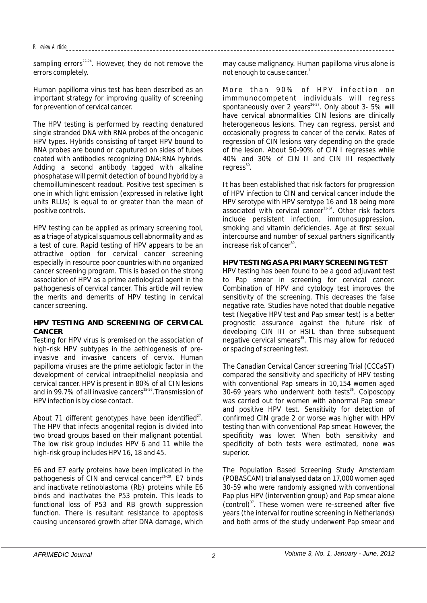sampling errors $^{22-24}$ . However, they do not remove the errors completely.

Human papilloma virus test has been described as an important strategy for improving quality of screening for prevention of cervical cancer.

The HPV testing is performed by reacting denatured single stranded DNA with RNA probes of the oncogenic HPV types. Hybrids consisting of target HPV bound to RNA probes are bound or caputured on sides of tubes coated with antibodies recognizing DNA:RNA hybrids. Adding a second antibody tagged with alkaline phosphatase will permit detection of bound hybrid by a chemoilluminescent readout. Positive test specimen is one in which light emission (expressed in relative light units RLUs) is equal to or greater than the mean of positive controls.

HPV testing can be applied as primary screening tool, as a triage of atypical squamous cell abnormality and as a test of cure. Rapid testing of HPV appears to be an attractive option for cervical cancer screening especially in resource poor countries with no organized cancer screening program. This is based on the strong association of HPV as a prime aetiological agent in the pathogenesis of cervical cancer. This article will review the merits and demerits of HPV testing in cervical cancer screening.

## **HPV TESTING AND SCREENING OF CERVICAL CANCER**

Testing for HPV virus is premised on the association of high-risk HPV subtypes in the aethiogenesis of preinvasive and invasive cancers of cervix. Human papilloma viruses are the prime aetiologic factor in the development of cervical intraepithelial neoplasia and cervical cancer. HPV is present in 80% of all CIN lesions and in 99.7% of all invasive cancers<sup> $25-26$ </sup>. Transmission of HPV infection is by close contact.

About 71 different genotypes have been identified $^{27}$ . The HPV that infects anogenital region is divided into two broad groups based on their malignant potential. The low risk group includes HPV 6 and 11 while the high-risk group includes HPV 16, 18 and 45.

E6 and E7 early proteins have been implicated in the pathogenesis of CIN and cervical cancer<sup>26-28</sup>. E7 binds and inactivate retinoblastoma (Rb) proteins while E6 binds and inactivates the P53 protein. This leads to functional loss of P53 and RB growth suppression function. There is resultant resistance to apoptosis causing uncensored growth after DNA damage, which may cause malignancy. Human papilloma virus alone is not enough to cause cancer.<sup>1</sup>

More than 90% of HPV infection on immmunocompetent individuals will regress spontaneously over 2 years  $2^{6-27}$ . Only about 3- 5% will have cervical abnormalities CIN lesions are clinically heterogeneous lesions. They can regress, persist and occasionally progress to cancer of the cervix. Rates of regression of CIN lesions vary depending on the grade of the lesion. About 50-90% of CIN I regresses while 40% and 30% of CIN II and CIN III respectively  $reares<sup>30</sup>$ .

It has been established that risk factors for progression of HPV infection to CIN and cervical cancer include the HPV serotype with HPV serotype 16 and 18 being more associated with cervical cancer<sup>31-34</sup>. Other risk factors include persistent infection, immunosuppression, smoking and vitamin deficiencies. Age at first sexual intercourse and number of sexual partners significantly increase risk of cancer $^{30}$ .

# **HPV TESTING AS A PRIMARY SCREENING TEST**

HPV testing has been found to be a good adjuvant test to Pap smear in screening for cervical cancer. Combination of HPV and cytology test improves the sensitivity of the screening. This decreases the false negative rate. Studies have noted that double negative test (Negative HPV test and Pap smear test) is a better prognostic assurance against the future risk of developing CIN III or HSIL than three subsequent negative cervical smears<sup>35</sup>. This may allow for reduced or spacing of screening test.

The Canadian Cervical Cancer screening Trial (CCCaST) compared the sensitivity and specificity of HPV testing with conventional Pap smears in 10,154 women aged  $30-69$  years who underwent both tests<sup>36</sup>. Colposcopy was carried out for women with abnormal Pap smear and positive HPV test. Sensitivity for detection of confirmed CIN grade 2 or worse was higher with HPV testing than with conventional Pap smear. However, the specificity was lower. When both sensitivity and specificity of both tests were estimated, none was superior.

The Population Based Screening Study Amsterdam (POBASCAM) trial analysed data on 17,000 women aged 30-59 who were randomly assigned with conventional Pap plus HPV (intervention group) and Pap smear alone  $(control)^{37}$ . These women were re-screened after five years (the interval for routine screening in Netherlands) and both arms of the study underwent Pap smear and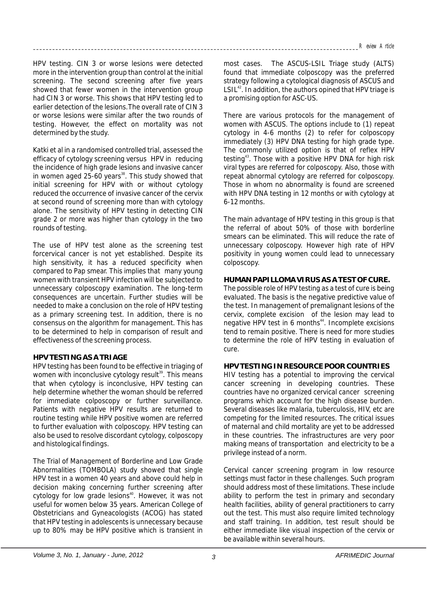HPV testing. CIN 3 or worse lesions were detected more in the intervention group than control at the initial screening. The second screening after five years showed that fewer women in the intervention group had CIN 3 or worse. This shows that HPV testing led to earlier detection of the lesions.The overall rate of CIN 3 or worse lesions were similar after the two rounds of testing. However, the effect on mortality was not determined by the study.

Katki et al in a randomised controlled trial, assessed the efficacy of cytology screening versus HPV in reducing the incidence of high grade lesions and invasive cancer in women aged 25-60 years<sup>38</sup>. This study showed that initial screening for HPV with or without cytology reduced the occurrence of invasive cancer of the cervix at second round of screening more than with cytology alone. The sensitivity of HPV testing in detecting CIN grade 2 or more was higher than cytology in the two rounds of testing.

The use of HPV test alone as the screening test forcervical cancer is not yet established. Despite its high sensitivity, it has a reduced specificity when compared to Pap smear. This implies that many young women with transient HPV infection will be subjected to unnecessary colposcopy examination. The long-term consequences are uncertain. Further studies will be needed to make a conclusion on the role of HPV testing as a primary screening test. In addition, there is no consensus on the algorithm for management. This has to be determined to help in comparison of result and effectiveness of the screening process.

## **HPV TESTING AS A TRIAGE**

HPV testing has been found to be effective in triaging of women with inconclusive cytology result<sup>39</sup>. This means that when cytology is inconclusive, HPV testing can help determine whether the woman should be referred for immediate colposcopy or further surveillance. Patients with negative HPV results are returned to routine testing while HPV positive women are referred to further evaluation with colposcopy. HPV testing can also be used to resolve discordant cytology, colposcopy and histological findings.

The Trial of Management of Borderline and Low Grade Abnormalities (TOMBOLA) study showed that single HPV test in a women 40 years and above could help in decision making concerning further screening after cytology for low grade lesions<sup>40</sup>. However, it was not useful for women below 35 years. American College of Obstetricians and Gyneacologists (ACOG) has stated that HPV testing in adolescents is unnecessary because up to 80% may be HPV positive which is transient in

most cases. The ASCUS-LSIL Triage study (ALTS) found that immediate colposcopy was the preferred strategy following a cytological diagnosis of ASCUS and  $LSIL<sup>42</sup>$ . In addition, the authors opined that HPV triage is a promising option for ASC-US.

There are various protocols for the management of women with ASCUS. The options include to (1) repeat cytology in 4-6 months (2) to refer for colposcopy immediately (3) HPV DNA testing for high grade type. The commonly utilized option is that of reflex HPV testing<sup>43</sup>. Those with a positive HPV DNA for high risk viral types are referred for colposcopy. Also, those with repeat abnormal cytology are referred for colposcopy. Those in whom no abnormality is found are screened with HPV DNA testing in 12 months or with cytology at 6-12 months.

The main advantage of HPV testing in this group is that the referral of about 50% of those with borderline smears can be eliminated. This will reduce the rate of unnecessary colposcopy. However high rate of HPV positivity in young women could lead to unnecessary colposcopy.

# **HUMAN PAPILLOMA VIRUS AS A TEST OF CURE.**

The possible role of HPV testing as a test of cure is being evaluated. The basis is the negative predictive value of the test. In management of premalignant lesions of the cervix, complete excision of the lesion may lead to negative HPV test in 6 months<sup>44</sup>. Incomplete excisions tend to remain positive. There is need for more studies to determine the role of HPV testing in evaluation of cure.

# **HPV TESTING IN RESOURCE POOR COUNTRIES**

HIV testing has a potential to improving the cervical cancer screening in developing countries. These countries have no organized cervical cancer screening programs which account for the high disease burden. Several diseases like malaria, tuberculosis, HIV, etc are competing for the limited resources. The critical issues of maternal and child mortality are yet to be addressed in these countries. The infrastructures are very poor making means of transportation and electricity to be a privilege instead of a norm.

Cervical cancer screening program in low resource settings must factor in these challenges. Such program should address most of these limitations. These include ability to perform the test in primary and secondary health facilities, ability of general practitioners to carry out the test. This must also require limited technology and staff training. In addition, test result should be either immediate like visual inspection of the cervix or be available within several hours.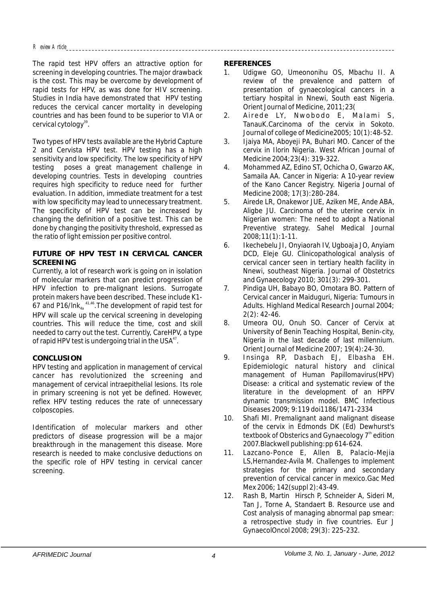The rapid test HPV offers an attractive option for screening in developing countries. The major drawback is the cost. This may be overcome by development of rapid tests for HPV, as was done for HIV screening. Studies in India have demonstrated that HPV testing reduces the cervical cancer mortality in developing countries and has been found to be superior to VIA or cervical cytology<sup>39</sup>.

Two types of HPV tests available are the Hybrid Capture 2 and Cervista HPV test. HPV testing has a high sensitivity and low specificity. The low specificity of HPV testing poses a great management challenge in developing countries. Tests in developing countries requires high specificity to reduce need for further evaluation. In addition, immediate treatment for a test with low specificity may lead to unnecessary treatment. The specificity of HPV test can be increased by changing the definition of a positive test. This can be done by changing the positivity threshold, expressed as the ratio of light emission per positive control.

## **FUTURE OF HPV TEST IN CERVICAL CANCER SCREENING**

Currently, a lot of research work is going on in isolation of molecular markers that can predict progression of HPV infection to pre-malignant lesions. Surrogate protein makers have been described. These include K1-  $67$  and P16/lnk $_{4a}$ <sup> $41,46$ </sup>. The development of rapid test for HPV will scale up the cervical screening in developing countries. This will reduce the time, cost and skill needed to carry out the test. Currently, CareHPV, a type of rapid HPV test is undergoing trial in the USA<sup>47</sup>.

# **CONCLUSION**

HPV testing and application in management of cervical cancer has revolutionized the screening and management of cervical intraepithelial lesions. Its role in primary screening is not yet be defined. However, reflex HPV testing reduces the rate of unnecessary colposcopies.

Identification of molecular markers and other predictors of disease progression will be a major breakthrough in the management this disease. More research is needed to make conclusive deductions on the specific role of HPV testing in cervical cancer screening.

## **REFERENCES**

- 1. Udigwe GO, Umeononihu OS, Mbachu II. A review of the prevalence and pattern of presentation of gynaecological cancers in a tertiary hospital in Nnewi, South east Nigeria. Orient Journal of Medicine, 2011;23(
- 2. Airede LY, Nwobodo E, Malami S, TanauK.Carcinoma of the cervix in Sokoto. Journal of college of Medicine2005; 10(1):48-52.
- 3. Ijaiya MA, Aboyeji PA, Buhari MO. Cancer of the cervix in Ilorin Nigeria. West African Journal of Medicine 2004;23(4): 319-322.
- 4. Mohammed AZ, Edino ST, Ochicha O, Gwarzo AK, Samaila AA. Cancer in Nigeria: A 10-year review of the Kano Cancer Registry. Nigeria Journal of Medicine 2008; 17(3):280-284.
- 5. Airede LR, Onakewor JUE, Aziken ME, Ande ABA, Aligbe JU. Carcinoma of the uterine cervix in Nigerian women: The need to adopt a National Preventive strategy. Sahel Medical Journal 2008;11(1):1-11.
- 6. Ikechebelu JI, Onyiaorah IV, Ugboaja JO, Anyiam DCD, Eleje GU. Clinicopathological analysis of cervical cancer seen in tertiary health facility in Nnewi, southeast Nigeria. Journal of Obstetrics and Gynaecology 2010; 301(3): 299-301.
- 7. Pindiga UH, Babayo BO, Omotara BO. Pattern of Cervical cancer in Maiduguri, Nigeria: Tumours in Adults. Highland Medical Research Journal 2004; 2(2): 42-46.
- 8. Umeora OU, Onuh SO. Cancer of Cervix at University of Benin Teaching Hospital, Benin-city, Nigeria in the last decade of last millennium. Orient Journal of Medicine 2007; 19(4):24-30.
- 9. Insinga RP, Dasbach EJ, Elbasha EH. Epidemiologic natural history and clinical management of Human Papillomavirus(HPV) Disease: a critical and systematic review of the literature in the development of an HPPV dynamic transmission model. BMC Infectious Diseases 2009; 9:119 doi1186/1471-2334
- 10. Shafi MI. Premalignant aand malignant disease of the cervix in Edmonds DK (Ed) Dewhurst's textbook of Obsterics and Gynaecology 7<sup>th</sup> edition 2007.Blackwell publishing:pp 614-624.
- 11. Lazcano-Ponce E, Allen B, Palacio-Mejia LS,Hernandez-Avila M. Challenges to implement strategies for the primary and secondary prevention of cervical cancer in mexico.Gac Med Mex 2006; 142(suppl 2):43-49.
- 12. Rash B, Martin Hirsch P, Schneider A, Sideri M, Tan J, Torne A, Standaert B. Resource use and Cost analysis of managing abnormal pap smear: a retrospective study in five countries. Eur J GynaecolOncol 2008; 29(3): 225-232.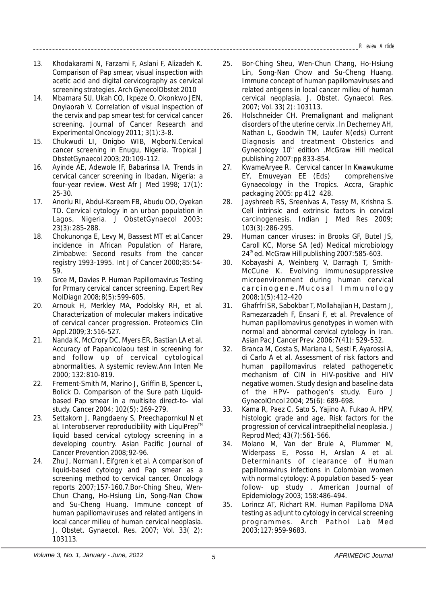- 13. Khodakarami N, Farzami F, Aslani F, Alizadeh K. Comparison of Pap smear, visual inspection with acetic acid and digital cervicography as cervical screening strategies. Arch GynecolObstet 2010
- 14. Mbamara SU, Ukah CO, Ikpeze O, Okonkwo JEN, Onyiaorah V. Correlation of visual inspection of the cervix and pap smear test for cervical cancer screening. Journal of Cancer Research and Experimental Oncology 2011; 3(1):3-8.
- 15. Chukwudi LI, Onigbo WIB, MgborN.Cervical cancer screening in Enugu, Nigeria. Tropical J ObstetGynaecol 2003;20:109-112.
- 16. Ayinde AE, Adewole IF, Babarinsa IA. Trends in cervical cancer screening in Ibadan, Nigeria: a four-year review. West Afr J Med 1998; 17(1): 25-30.
- 17. Anorlu RI, Abdul-Kareem FB, Abudu OO, Oyekan TO. Cervical cytology in an urban population in Lagos, Nigeria. J ObstetGynaecol 2003; 23(3):285-288.
- 18. Chokunonga E, Levy M, Bassest MT et al.Cancer incidence in African Population of Harare, Zimbabwe: Second results from the cancer registry 1993-1995. Int J of Cancer 2000;85:54- 59.
- 19. Grce M, Davies P. Human Papillomavirus Testing for Prmary cervical cancer screening. Expert Rev MolDiagn 2008;8(5):599-605.
- 20. Arnouk H, Merkley MA, Podolsky RH, et al. Characterization of molecular makers indicative of cervical cancer progression. Proteomics Clin Appl.2009;3:516-527.
- 21. Nanda K, McCrory DC, Myers ER, Bastian LA et al. Accuracy of Papanicolaou test in screening for and follow up of cervical cytological abnormalities. A systemic review.Ann Inten Me 2000; 132:810-819.
- 22. Frement-Smith M, Marino J, Griffin B, Spencer L, Bolick D. Comparison of the Sure path Liquidbased Pap smear in a multisite direct-to- vial study. Cancer 2004; 102(5): 269-279.
- 23. Settakorn J, Rangdaeny S, Preechapornkul N et al. Interobserver reproducibility with LiquiPrep™ liquid based cervical cytology screening in a developing country. Asian Pacific Journal of Cancer Prevention 2008;92-96.
- 24. Zhu J, Norman I, Eifgren k et al. A comparison of liquid-based cytology and Pap smear as a screening method to cervical cancer. Oncology reports 2007;157-160.7.Bor-Ching Sheu, Wen-Chun Chang, Ho-Hsiung Lin, Song-Nan Chow and Su-Cheng Huang. Immune concept of human papillomaviruses and related antigens in local cancer milieu of human cervical neoplasia. J. Obstet. Gynaecol. Res. 2007; Vol. 33( 2): 103113.
- 25. Bor-Ching Sheu, Wen-Chun Chang, Ho-Hsiung Lin, Song-Nan Chow and Su-Cheng Huang. Immune concept of human papillomaviruses and related antigens in local cancer milieu of human cervical neoplasia. J. Obstet. Gynaecol. Res. 2007; Vol. 33( 2): 103113.
- 26. Holschneider CH. Premalignant and malignant disorders of the uterine cervix .In Decherney AH, Nathan L, Goodwin TM, Laufer N(eds) Current Diagnosis and treatment Obsterics and Gynecology  $10<sup>th</sup>$  edition .McGraw Hill medical publishing 2007:pp 833-854.
- 27. KwameAryee R. Cervical cancer In Kwawukume EY, Emuveyan EE (Eds) comprehensive Gynaecology in the Tropics. Accra, Graphic packaging 2005: pp 412 428.
- 28. Jayshreeb RS, Sreenivas A, Tessy M, Krishna S. Cell intrinsic and extrinsic factors in cervical carcinogenesis. Indian J Med Res 2009; 103(3):286-295.
- 29. Human cancer viruses: in Brooks GF, Butel JS, Caroll KC, Morse SA (ed) Medical microbiology 24<sup>th</sup> ed. McGraw Hill publishing 2007:585-603.
- 30. Kobayashi A, Weinberg V, Darragh T, Smith-McCune K. Evolving immunosuppressive microenvironment during human cervical c a r c i n o g e n e . M u c o s a l Immunology 2008;1(5):412-420
- 31. Ghafrfri SR, Sabokbar T, Mollahajian H, Dastarn J, Ramezarzadeh F, Ensani F, et al. Prevalence of human papillomavirus genotypes in women with normal and abnormal cervical cytology in Iran. Asian Pac J Cancer Prev. 2006;7(41): 529-532.
- 32. Branca M, Costa S, Mariana L, Sesti F, Ayarossi A, di Carlo A et al. Assessment of risk factors and human papillomavirus related pathogenetic mechanism of CIN in HIV-positive and HIV negative women. Study design and baseline data of the HPV- pathogen's study. Euro J GynecolOncol 2004; 25(6): 689-698.
- 33. Kama R, Paez C, Sato S, Yajino A, Fukao A. HPV, histologic grade and age. Risk factors for the progression of cervical intraepithelial neoplasia. J Reprod Med; 43(7):561-566.
- 34. Molano M, Van der Brule A, Plummer M, Widerpass E, Posso H, Arslan A et al. Determinants of clearance of Human papillomavirus infections in Colombian women with normal cytology: A population based 5- year follow- up study . American Journal of Epidemiology 2003; 158:486-494.
- 35. Lorincz AT, Richart RM. Human Papilloma DNA testing as adjunt to cytology in cervical screening programmes. Arch Pathol Lab Med 2003;127:959-9683.